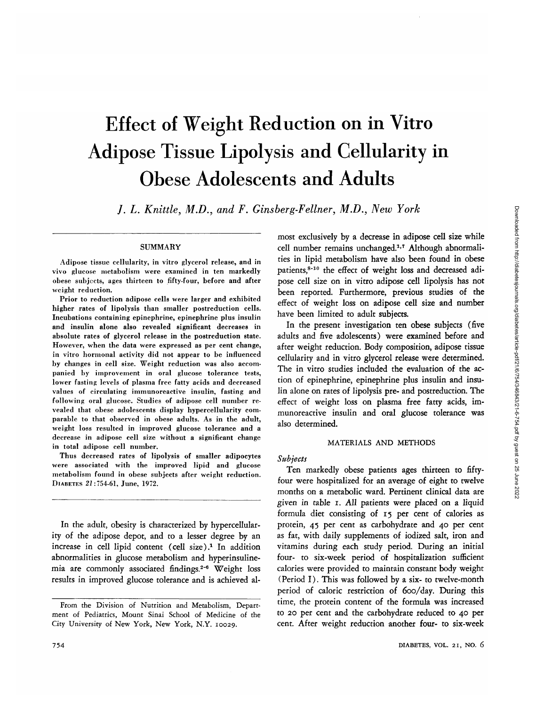# Effect of Weight Reduction on in Vitro Adipose Tissue Lipolysis and Cellularity in Obese Adolescents and Adults

/. *L. Knittle, M.D., and F. Ginsberg-Fellner, M.D., New York*

#### **SUMMARY**

Adipose tissue cellularity, in vitro glycerol release, and in vivo glucose metabolism were examined in ten markedly obese subjects, ages thirteen to fifty-four, before and after weight reduction.

Prior to reduction adipose cells were larger and exhibited higher rates of lipolysis than smaller postreduction cells. Incubations containing epinephrine, epinephrine plus insulin and insulin alone also revealed significant decreases in absolute rates of glycerol release in the postreduction state. However, when the data were expressed as per cent change, in vitro hormonal activity did not appear to be influenced by changes in cell size. Weight reduction was also accompanied by improvement in oral glucose tolerance tests, lower fasting levels of plasma free fatty acids and decreased values of circulating immunoreactive insulin, fasting and following oral glucose. Studies of adipose cell number revealed that obese adolescents display hypercellularity comparable to that observed in obese adults. As in the adult, weight loss resulted in improved glucose tolerance and a decrease in adipose cell size without a significant change in total adipose cell number.

Thus decreased rates of lipolysis of smaller adipocytes were associated with the improved lipid and glucose metabolism found in obese subjects after weight reduction. DIABETES *21:*754-61, June, 1972.

In the adult, obesity is characterized by hypercellularity of the adipose depot, and to a lesser degree by an increase in cell lipid content (cell size).<sup>1</sup> In addition abnormalities in glucose metabolism and hyperinsulinemia are commonly associated findings.<sup>2-6</sup> Weight loss results in improved glucose tolerance and is achieved almost exclusively by a decrease in adipose cell size while cell number remains unchanged.<sup>1,7</sup> Although abnormalities in lipid metabolism have also been found in obese patients,<sup>8-10</sup> the effect of weight loss and decreased adipose cell size on in vitro adipose cell lipolysis has not been reported. Furthermore, previous studies of the effect of weight loss on adipose cell size and number have been limited to adult subjects.

In the present investigation ten obese subjects (five adults and five adolescents) were examined before and after weight reduction. Body composition, adipose tissue cellularity and in vitro glycerol release were determined. The in vitro studies included the evaluation of the action of epinephrine, epinephrine plus insulin and insulin alone on rates of lipolysis pre- and postreduction. The effect of weight loss on plasma free fatty acids, immunoreactive insulin and oral glucose tolerance was also determined.

#### MATERIALS AND METHODS

## *Subjects*

Ten markedly obese patients ages thirteen to fiftyfour were hospitalized for an average of eight to twelve months on a metabolic ward. Pertinent clinical data are given in table 1. All patients were placed on a liquid formula diet consisting of 15 per cent of calories as protein, 45 per cent as carbohydrate and 40 per cent as fat, with daily supplements of iodized salt, iron and vitamins during each study period. During an initial four- to six-week period of hospitalization sufficient calories were provided to maintain constant body weight (Period I). This was followed by a six- to twelve-month period of caloric restriction of 600/day. During this time, the protein content of the formula was increased to 20 per cent and the carbohydrate reduced to 40 per cent. After weight reduction another four- to six-week

From the Division of Nutrition and Metabolism, Department of Pediatrics, Mount Sinai School of Medicine of the City University of New York, New York, N.Y. 10029.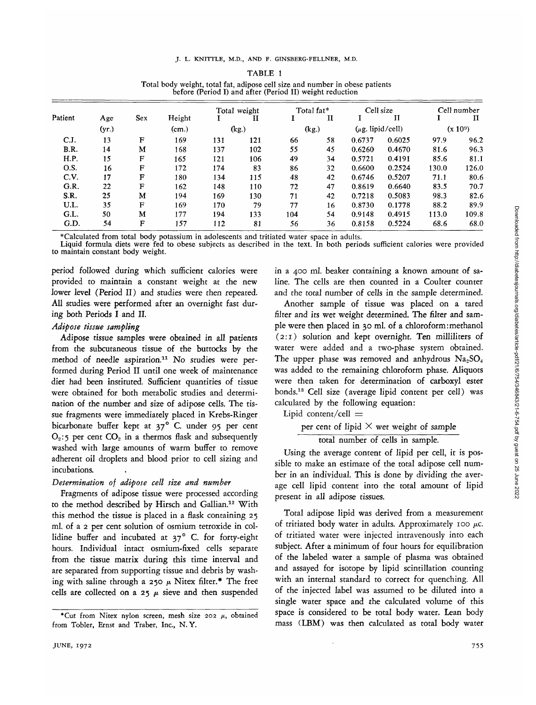|         |       |            |        | $\ldots$<br>before (Period I) and after (Period II) weight reduction |     |            |    |                       |        |                      |       |
|---------|-------|------------|--------|----------------------------------------------------------------------|-----|------------|----|-----------------------|--------|----------------------|-------|
|         |       |            |        | Total weight                                                         |     | Total fat* |    | Cell size             |        | Cell number          |       |
| Patient | Age   | <b>Sex</b> | Height |                                                                      | Н   |            | П  |                       | Н      |                      | п     |
|         | (yr.) |            | (cm.)  | (kg)                                                                 |     | (kg)       |    | $(\mu$ g. lipid/cell) |        | (x 10 <sup>9</sup> ) |       |
| C.J.    | 13    | F          | 169    | 131                                                                  | 121 | 66         | 58 | 0.6737                | 0.6025 | 97.9                 | 96.2  |
| B.R.    | 14    | М          | 168    | 137                                                                  | 102 | 55         | 45 | 0.6260                | 0.4670 | 81.6                 | 96.3  |
| H.P.    | 15    | F          | 165    | 121                                                                  | 106 | 49         | 34 | 0.5721                | 0.4191 | 85.6                 | 81.1  |
| O.S.    | 16    | F          | 172    | 174                                                                  | 83  | 86         | 32 | 0.6600                | 0.2524 | 130.0                | 126.0 |
| C.V.    | 17    | F          | 180    | 134                                                                  | 115 | 48         | 42 | 0.6746                | 0.5207 | 71.1                 | 80.6  |
| G.R.    | 22    | F          | 162    | 148                                                                  | 110 | 72         | 47 | 0.8619                | 0.6640 | 83.5                 | 70.7  |
| S.R.    | 25    | M          | 194    | 169                                                                  | 130 | 71         | 42 | 0.7218                | 0.5083 | 98.3                 | 82.6  |
| U.L.    | 35    | F          | 169    | 170                                                                  | 79  | 77         | 16 | 0.8730                | 0.1778 | 88.2                 | 89.9  |
| G.L.    | 50    | M          | 177    | 194                                                                  | 133 | 104        | 54 | 0.9148                | 0.4915 | 113.0                | 109.8 |
| G.D.    | 54    | F          | 157    | 112                                                                  | 81  | 56         | 36 | 0.8158                | 0.5224 | 68.6                 | 68.0  |

TABLE 1 Total body weight, total fat, adipose cell size and number in obese patients

\* Calculated from total body potassium in adolescents and tritiated water space in adults. Liquid formula diets were fed to obese subjects as described in the text. In both periods sufficient calories were provided to maintain constant body weight.

period followed during which sufficient calories were provided to maintain a constant weight at the new lower level (Period II) and studies were then repeated. All studies were performed after an overnight fast during both Periods I and II.

#### *Adipose tissue sampling*

Adipose tissue samples were obtained in all patients from the subcutaneous tissue of the buttocks by the method of needle aspiration.<sup>11</sup> No studies were performed during Period II until one week of maintenance diet had been instituted. Sufficient quantities of tissue were obtained for both metabolic studies and determination of the number and size of adipose cells. The tissue fragments were immediately placed in Krebs-Ringer bicarbonate buffer kept at 37° C. under 95 per cent  $O_2$ :5 per cent  $CO_2$  in a thermos flask and subsequently washed with large amounts of warm buffer to remove adherent oil droplets and blood prior to cell sizing and incubations.

## *Determination of adipose cell size and number*

Fragments of adipose tissue were processed according to the method described by Hirsch and Gallian.<sup>12</sup> With this method the tissue is placed in a flask containing 25 ml. of a 2 per cent solution of osmium tetroxide in collidine buffer and incubated at 37° C. for forty-eight hours. Individual intact osmium-fixed cells separate from the tissue matrix during this time interval and are separated from supporting tissue and debris by washing with saline through a 250  $\mu$  Nitex filter.\* The free cells are collected on a 25  $\mu$  sieve and then suspended in a 400 ml. beaker containing a known amount of saline. The cells are then counted in a Coulter counter and the total number of cells in the sample determined.

Another sample of tissue was placed on a tared filter and its wet weight determined. The filter and sample were then placed in 30 ml. of a chloroform :methanol (2:1) solution and kept overnight. Ten milliliters of water were added and a two-phase system obtained. The upper phase was removed and anhydrous  $Na<sub>2</sub>SO<sub>4</sub>$ was added to the remaining chloroform phase. Aliquots were then taken for determination of carboxyl ester bonds.13 Cell size (average lipid content per cell) was calculated by the following equation:

Lipid content/cell  $=$ 

## per cent of lipid  $\times$  wet weight of sample total number of cells in sample.

Using the average content of lipid per cell, it is possible to make an estimate of the total adipose cell number in an individual. This is done by dividing the average cell lipid content into the total amount of lipid present in all adipose tissues.

Total adipose lipid was derived from a measurement of tritiated body water in adults. Approximately 100  $\mu$ c. of tritiated water were injected intravenously into each subject. After a minimum of four hours for equilibration of the labeled water a sample of plasma was obtained and assayed for isotope by lipid scintillation counting with an internal standard to correct for quenching. All of the injected label was assumed to be diluted into a single water space and the calculated volume of this space is considered to be total body water. Lean body mass (LBM) was then calculated as total body water

<sup>\*</sup>Cut from Nitex nylon screen, mesh size 202 *n,* obtained from Tobler, Ernst and Traber, Inc., N. Y.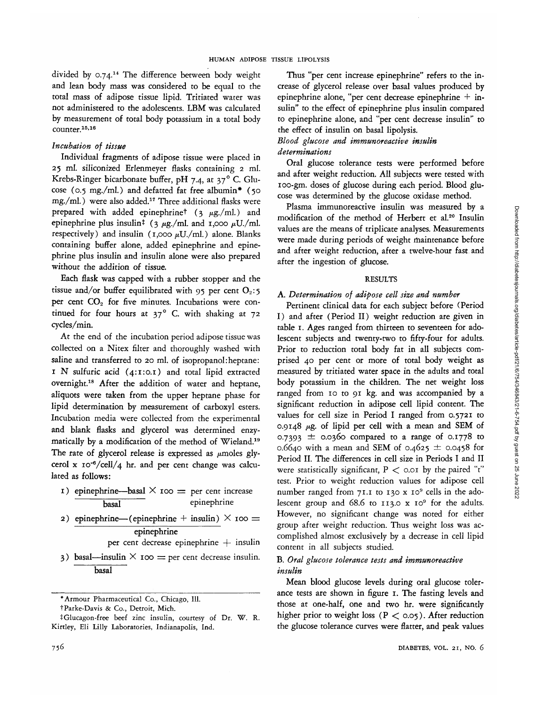divided by 0.74.14 The difference between body weight and lean body mass was considered to be equal to the total mass of adipose tissue lipid. Tritiated water was not administered to the adolescents. LBM was calculated by measurement of total body potassium in a total body counter.<sup>15,16</sup>

#### *Incubation of tissue*

Individual fragments of adipose tissue were placed in 25 ml. siliconized Erlenmeyer flasks containing 2 ml. Krebs-Ringer bicarbonate buffer, pH 7.4, at 37° C. Glucose (0.5 mg./ml.) and defatted fat free albumin\* (50 mg./ml.) were also added.17 Three additional flasks were prepared with added epinephrinet  $(3 \mu g./ml.)$  and epinephrine plus insulin<sup>†</sup> (3  $\mu$ g./ml. and 1,000  $\mu$ U./ml. respectively) and insulin ( $1,000 \mu U./ml.$ ) alone. Blanks containing buffer alone, added epinephrine and epinephrine plus insulin and insulin alone were also prepared without the addition of tissue.

Each flask was capped with a rubber stopper and the tissue and/or buffer equilibrated with 95 per cent  $O_2$ :5 per cent CO<sub>2</sub> for five minutes. Incubations were continued for four hours at  $37^\circ$  C. with shaking at 72 cycles/min.

At the end of the incubation period adipose tissue was collected on a Nitex filter and thoroughly washed with saline and transferred to 20 ml. of isopropanol:heptane: 1 N sulfuric acid (4:1:0.1) and total lipid extracted overnight.<sup>18</sup> After the addition of water and heptane, aliquots were taken from the upper heptane phase for lipid determination by measurement of carboxyl esters. Incubation media were collected from the experimental and blank flasks and glycerol was determined enzymatically by a modification of the method of Wieland.<sup>19</sup> The rate of glycerol release is expressed as  $\mu$ moles gly- $\frac{1}{2}$  cerol x  $\frac{1}{2}$  or  $\frac{1}{2}$  or  $\frac{1}{2}$  hr. and per cent change was calculated as follows:

- 1) epinephrine—basal  $\times$  100 = per cent increase **basal** epinephrine
- 2) epinephrine—(epinephrine + insulin)  $\times$  100 = epinephrine

per cent decrease epinephrine  $+$  insulin

3) basal—insulin  $\times$  100 = per cent decrease insulin. **basal**

Thus "per cent increase epinephrine" refers to the increase of glycerol release over basal values produced by epinephrine alone, "per cent decrease epinephrine  $+$  insulin" to the effect of epinephrine plus insulin compared to epinephrine alone, and "per cent decrease insulin" to the *effect* of insulin on basal lipolysis.

## *Blood glucose and immunoreactive insulin determinations*

Oral glucose tolerance tests were performed before and after weight reduction. All subjects were tested with 100-gm. doses of glucose during each period. Blood glucose was determined by the glucose oxidase method.

Plasma immunoreactive insulin was measured by a modification of the method of Herbert et al.<sup>20</sup> Insulin values are the means of triplicate analyses. Measurements were made during periods of weight maintenance before and after weight reduction, after a twelve-hour fast and after the ingestion of glucose.

#### RESULTS

## A. *Determination of adipose cell size and number*

Pertinent clinical data for each subject before (Period I) and after (Period II) weight reduction are given in table 1. Ages ranged from thirteen to seventeen for adolescent subjects and twenty-two to fifty-four for adults. Prior to reduction total body fat in all subjects comprised 40 per cent or more of total body weight as measured by tritiated water space in the adults and total body potassium in the children. The net weight loss ranged from 10 to 91 kg. and was accompanied by a significant reduction in adipose cell lipid content. The values for cell size in Period I ranged from 0.5721 to 0.9148  $\mu$ g. of lipid per cell with a mean and SEM of 0.7393  $\pm$  0.0360 compared to a range of 0.1778 to 0.6640 with a mean and SEM of 0.4625 *±* 0.0458 for Period II. The differences in cell size in Periods I and II were statistically significant,  $P <$  0.01 by the paired "t" test. Prior to weight reduction values for adipose cell number ranged from 71.1 to 130 x 109 cells in the adolescent group and  $68.6$  to  $113.0 \times 10^9$  for the adults. However, no significant change was noted for either group after weight reduction. Thus weight loss was accomplished almost exclusively by a decrease in cell lipid content in all subjects studied.

## B. *Oral glucose tolerance tests and immunoreactive insulin*

Mean blood glucose levels during oral glucose tolerance tests are shown in figure 1. The fasting levels and those at one-half, one and two hr. were significantly higher prior to weight loss ( $P < 0.05$ ). After reduction the glucose tolerance curves were flatter, and peak values

<sup>\*</sup>Armour Pharmaceutical Co., Chicago, 111.

tParke-Davis & Co., Detroit, Mich.

IGlucagon-free beef zinc insulin, courtesy of Dr. W. R. Kirtley, Eli Lilly Laboratories, Indianapolis, Ind.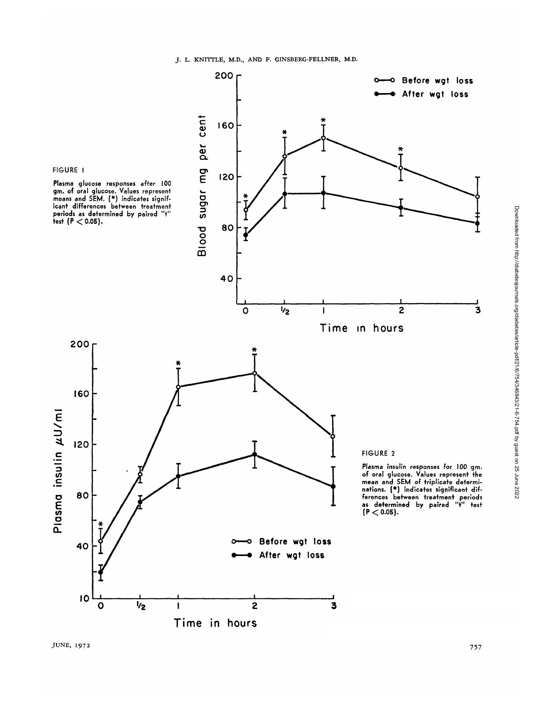J. L. KNITTLE, M.D., AND F. GINSBERG-FELLNER, M.D.

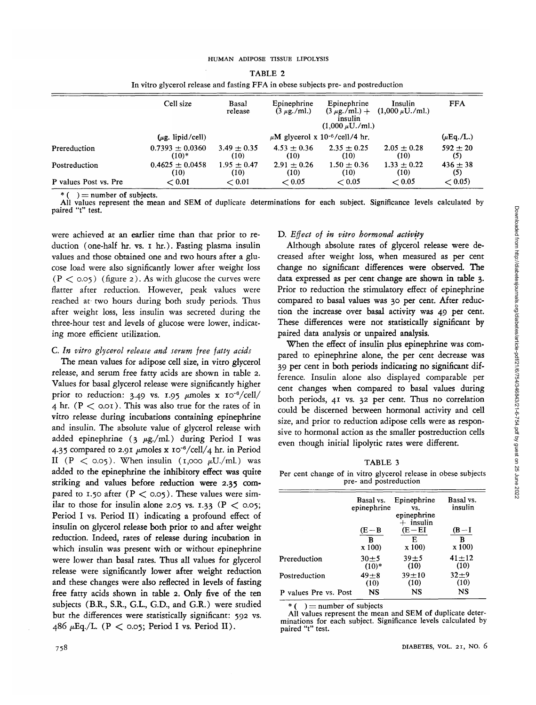| In vitro giveerol release and fasting FFA in obese subjects pre- and postreduction |                                |                         |                                                 |                                                |                                                   |                     |  |
|------------------------------------------------------------------------------------|--------------------------------|-------------------------|-------------------------------------------------|------------------------------------------------|---------------------------------------------------|---------------------|--|
|                                                                                    | Cell size                      | Basal<br>release        | Epinephrine<br>$(3 \mu g$ ./ml.)                | Epinephrine<br>insulin<br>$(1.000 \mu U./ml.)$ | Insulin<br>$(3 \mu$ g./ml.) + $(1,000 \mu U./m!)$ | <b>FFA</b>          |  |
|                                                                                    | $(\mu$ g. lipid/cell)          |                         | $\mu$ M glycerol x 10 <sup>-6</sup> /cell/4 hr. | $(\mu Eq./L.)$                                 |                                                   |                     |  |
| Prereduction                                                                       | $0.7393 \pm 0.0360$<br>$(10)*$ | $3.49 \pm 0.35$<br>(10) | $4.53 + 0.36$<br>(10)                           | $2.35 \pm 0.25$<br>(10)                        | $2.05 \pm 0.28$<br>(10)                           | $592 + 20$<br>(5)   |  |
| Postreduction                                                                      | $0.4625 \pm 0.0458$<br>(10)    | $1.95 \pm 0.47$<br>(10) | $2.91 \pm 0.26$<br>(10)                         | $1.50 \pm 0.36$<br>(10)                        | $1.33 \pm 0.22$<br>(10)                           | $436 \pm 38$<br>(5) |  |
| P values Post vs. Pre                                                              | < 0.01                         | < 0.01                  | < 0.05                                          | < 0.05                                         | < 0.05                                            | < 0.05              |  |

| TABLE 2                                                                            |
|------------------------------------------------------------------------------------|
| In vitro glycerol release and fasting FFA in obese subjects pre- and postreduction |

 $*( )$  = number of subjects.<br>All values represent the mean and SEM of duplicate determinations for each subject. Significance levels calculated by paired "t" test.

were achieved at an earlier time than that prior to reduction (one-half hr. vs. i hr.). Fasting plasma insulin values and those obtained one and two hours after a glucose load were also significantly lower after weight loss  $(P < 0.05)$  (figure 2). As with glucose the curves were flatter after reduction. However, peak values were reached at two hours during both study periods. Thus after weight loss, less insulin was secreted during the three-hour test and *levels* of glucose were lower, indicating more efficient utilization.

#### C. *In vitro glycerol release and serum free fatty acids*

The mean values for adipose cell size, in vitro glycerol release, and serum free fatty acids are shown in table 2. Values for basal glycerol release were significantly higher prior to reduction: 3.49 vs. 1.95  $\mu$ moles x 10<sup>-6</sup>/cell/ 4 hr.  $(P < 0.01)$ . This was also true for the rates of in vitro release during incubations containing epinephrine and insulin. The absolute value of glycerol release with added epinephrine (3  $\mu$ g./ml.) during Period I was 4.35 compared to 2.91  $\mu$ moles x 10<sup>-6</sup>/cell/4 hr. in Period II  $(P < 0.05)$ . When insulin  $(1,000 \mu U/ml)$  was added to the epinephrine the inhibitory *effect* was quite striking and values before reduction were 2.35 compared to 1.50 after  $(P < 0.05)$ . These values were similar to those for insulin alone 2.05 vs. 1.33 ( $P < 0.05$ ; Period I vs. Period II) indicating a profound effect of insulin on glycerol release both prior to and after weight reduction. Indeed, rates of release during incubation in which insulin was present with or without epinephrine were lower than basal rates. Thus all values for glycerol release were significantly lower after weight reduction and these changes were also reflected in levels of fasting free fatty acids shown in table 2. Only five of the ten subjects (B.R., S.R., G.L, G.D., and G.R.) were studied but the differences were statistically significant: 592 vs. 486  $\mu$ Eq./L. (P < 0.05; Period I vs. Period II).

## D. *Effect of in vitro hormonal activity*

Although absolute rates of glycerol release were decreased after weight loss, when measured as per cent change no significant differences were observed. The data expressed as per cent change are shown in table 3. Prior to reduction the stimulatory effect of epinephrine compared to basal values was 30 per cent. After reduction the increase over basal activity was 49 per cent. These differences were not statistically significant by paired data analysis or unpaired analysis.

When the effect of insulin plus epinephrine was compared to epinephrine alone, the per cent decrease was 39 per cent in both periods indicating no significant difference. Insulin alone also displayed comparable per cent changes when compared to basal values during both periods, 41 vs. 32 per cent. Thus no correlation could be discerned between hormonal activity and cell size, and prior to reduction adipose cells were as responsive to hormonal action as the smaller postreduction cells even though initial lipolytic rates were different.

TABLE 3

Per cent change of in vitro glycerol release in obese subjects pre- and postreduction

|                       | Basal vs.<br>epinephrine | Epinephrine<br>VS.<br>epinephrine | Basal vs.<br>insulin |
|-----------------------|--------------------------|-----------------------------------|----------------------|
|                       | $(E - B)$                | $+$ insulin<br>( $E - EI$         | $(B-I)$              |
|                       | R<br>x 100)              | F.<br>x 100)                      | R<br>x 100)          |
| Prereduction          | $30 + 5$<br>$(10)*$      | $39 + 5$<br>(10)                  | $41 + 12$<br>(10)    |
| Postreduction         | $49 + 8$<br>(10)         | $39 + 10$<br>(10)                 | $32 + 9$<br>(10)     |
| P values Pre vs. Post | NS                       | NS                                | NS                   |

 $*( )$  = number of subjects<br>All values represent the mean and SEM of duplicate deter-<br>minations for each subject. Significance levels calculated by paired "t" test.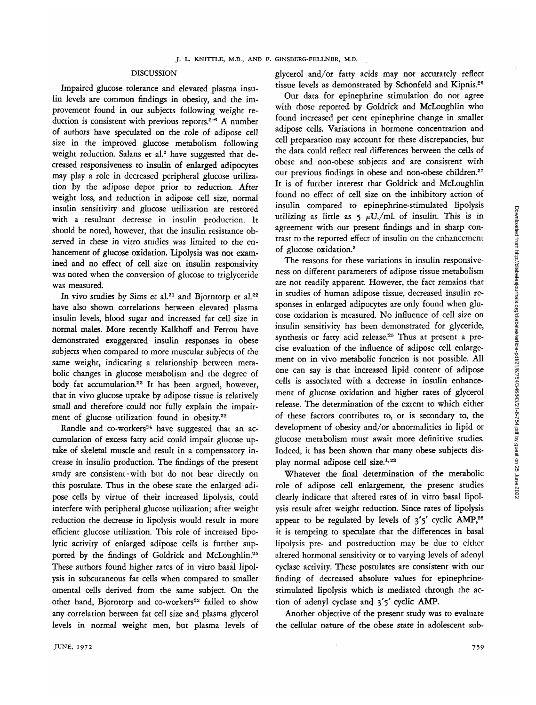## DISCUSSION

Impaired glucose tolerance and elevated plasma insulin levels are common findings in obesity, and the improvement found in our subjects following weight reduction is consistent with previous reports.<sup>2-6</sup> A number of authors have speculated on the role of adipose cell size in the improved glucose metabolism following weight reduction. Salans et al.<sup>2</sup> have suggested that decreased responsiveness to insulin of enlarged adipocytes may play a role in decreased peripheral glucose utilization by the adipose depot prior to reduction. After weight loss, and reduction in adipose cell size, normal insulin sensitivity and glucose utilization are restored with a resultant decrease in insulin production. It should be noted, however, that the insulin resistance observed in these in vitro studies was limited to the enhancement of glucose oxidation. Lipolysis was not examined and no effect of cell size on insulin responsivity was noted when the conversion of glucose to triglyceride was measured.

In vivo studies by Sims et al.<sup>21</sup> and Bjorntorp et al.<sup>22</sup> have also shown correlations between elevated plasma insulin levels, blood sugar and increased fat cell size in normal males. More recently Kalkhoff and Ferrou have demonstrated exaggerated insulin responses in obese subjects when compared to more muscular subjects of the same weight, indicating a relationship between metabolic changes in glucose metabolism and the degree of body fat accumulation.23 It has been argued, however, that in vivo glucose uptake by adipose tissue is relatively small and therefore could not fully explain the impairment of glucose utilization found in obesity.<sup>22</sup>

Randle and co-workers<sup>24</sup> have suggested that an accumulation of excess fatty acid could impair glucose uptake of skeletal muscle and result in a compensatory increase in insulin production. The findings of the present study are consistent • with but do not bear directly on this postulate. Thus in the obese state the enlarged adipose cells by virtue of their increased lipolysis, could interfere with peripheral glucose utilization; after weight reduction the decrease in lipolysis would result in more efficient glucose utilization. This role of increased lipolytic activity of enlarged adipose cells is further supported by the findings of Goldrick and McLoughlin.<sup>25</sup> These authors found higher rates of in vitro basal lipolysis in subcutaneous fat cells when compared to smaller omental cells derived from the same subject. On the other hand. Biorntorp and co-workers<sup>22</sup> failed to show any correlation between fat cell size and plasma glycerol levels in normal weight men, but plasma levels of glycerol and/or fatty acids may not accurately reflect tissue levels as demonstrated by Schonfeld and Kipnis.<sup>26</sup>

Our data for epinephrine stimulation do not agree with those reported by Goldrick and McLoughlin who found increased per cent epinephrine change in smaller adipose cells. Variations in hormone concentration and cell preparation may account for these discrepancies, but the data could reflect real differences between the cells of obese and non-obese subjects and are consistent with our previous findings in obese and non-obese children.<sup>27</sup> It is of further interest that Goldrick and McLoughlin found no effect of cell size on the inhibitory action of insulin compared to epinephrine-stimulated lipolysis utilizing as little as  $5 \mu U$ ./ml. of insulin. This is in agreement with our present findings and in sharp contrast to the reported effect of insulin on the enhancement of glucose oxidation.2

The reasons for these variations in insulin responsiveness on different parameters of adipose tissue metabolism are not readily apparent. However, the fact remains that in studies of human adipose tissue, decreased insulin responses in enlarged adipocytes are only found when glucose oxidation is measured. No influence of cell size on insulin sensitivity has been demonstrated for glyceride, synthesis or fatty acid release.<sup>25</sup> Thus at present a precise evaluation of the influence of adipose cell enlargement on in vivo metabolic function is not possible. All one can say is that increased lipid content of adipose cells is associated with a decrease in insulin enhancement of glucose oxidation and higher rates of glycerol release. The determination of the extent to which either of these factors contributes to, or is secondary to, the development of obesity and/or abnormalities in lipid or glucose metabolism must await more definitive studies. Indeed, it has been shown that many obese subjects display normal adipose cell size.<sup>1,22</sup>

Whatever the final determination of the metabolic role of adipose cell enlargement, the present studies clearly indicate that altered rates of in vitro basal lipolysis result after weight reduction. Since rates of lipolysis appear to be regulated by levels of  $3'5'$  cyclic AMP,<sup>28</sup> it is tempting to speculate that the differences in basal lipolysis pre- and postreduction may be due to either altered hormonal sensitivity or to varying levels of adenyl cyclase activity. These postulates are consistent with our finding of decreased absolute values for epinephrinestimulated lipolysis which is mediated through the action of adenyl cyclase and 3'5' cyclic AMP.

Another objective of the present study was to evaluate the cellular nature of the obese state in adolescent sub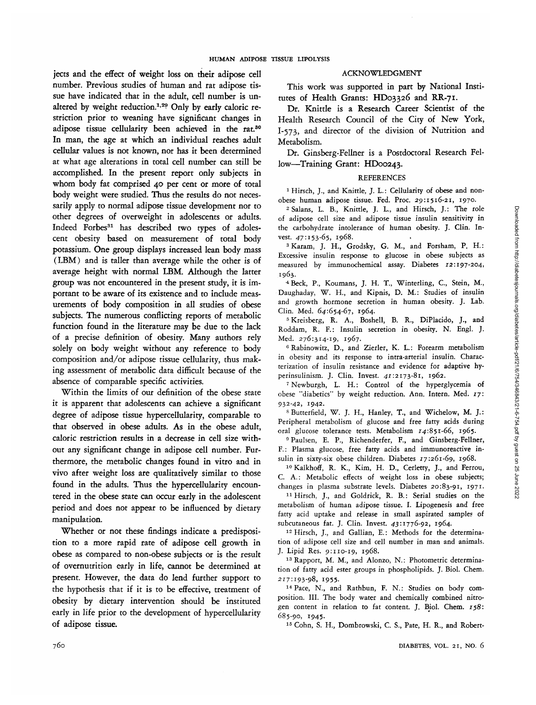jects and the effect of weight loss on their adipose cell number. Previous studies of human and rat adipose tissue have indicated that in the adult, cell number is unaltered by weight reduction.<sup>1,29</sup> Only by early caloric restriction prior to weaning have significant changes in adipose tissue cellularity been achieved in the rat.<sup>30</sup> In man, the age at which an individual reaches adult cellular values is not known, nor has *it* been determined at what age alterations in total cell number can still be accomplished. In the present report only subjects in whom body fat comprised 40 per cent or more of total body weight were studied. Thus the results do not necessarily apply to normal adipose tissue development nor to other degrees of overweight in adolescents or adults. Indeed Forbes<sup>31</sup> has described two types of adolescent obesity based on measurement of total body potassium. One group displays increased lean body mass (LBM) and is taller than average while the other is of average height with normal LBM. Although the latter group was not encountered in the present study, it is important to be aware of its existence and to include measurements of body composition in all studies of obese subjects. The numerous conflicting reports of metabolic function found in the literature may be due to the lack of a precise definition of obesity. Many authors rely solely on body weight without any reference to body composition and/or adipose tissue cellularity, thus making assessment of metabolic data difficult because of the absence of comparable specific activities.

Within the limits of our definition of the obese state it is apparent that adolescents can achieve a significant degree of adipose tissue hypercellularity, comparable to that observed in obese adults. As in the obese adult, caloric restriction results in a decrease in cell size without any significant change in adipose cell number. Furthermore, the metabolic changes found in vitro and in vivo after weight loss are qualitatively similar to those found in the adults. Thus the hypercellularity encountered in the obese state can occur early in the adolescent period and does not appear to be influenced by dietary manipulation.

Whether or not these findings indicate a predisposition to a more rapid rate of adipose cell growth in obese as compared to non-obese subjects or is the result of overnutrition early in life, cannot be determined at present. However, the data do lend further support to the hypothesis that if it is to be effective, treatment of obesity by dietary intervention should be instituted early in life prior to the development of hypercellularity of adipose tissue.

#### ACKNOWLEDGMENT

This work was supported in part by National Institutes of Health Grants: HD03326 and RR-71.

Dr. Knittle is a Research Career Scientist of the Health Research Council of the City of New York, I-573, and director of the division of Nutrition and Metabolism.

Dr. Ginsberg-Fellner is a Postdoctoral Research Fellow-Training Grant: HD00243.

### **REFERENCES**

<sup>1</sup> Hirsch, J., and Knittle, J. L.: Cellularity of obese and nonobese human adipose tissue. Fed. Proc. 29:1516-21, 1970. <sup>2</sup>

<sup>2</sup> Salans, L. B., Knittle, J. L., and Hirsch, J.: The role of adipose cell size and adipose tissue insulin sensitivity in the carbohydrate intolerance of human obesity. J. Clin. Invest. 47:153-65, 1968.

Karam, J. H., Grodsky, G. M., and Forsham, P. H.: Excessive insulin response to glucose in obese subjects as measured by immunochemical assay. Diabetes 12:197-204, 1963.

4 Beck, P., Koumans, J. H. T., Wintering, C, Stein, M., Daughaday, W. H., and Kipnis, D. M.: Studies of insulin and growth hormone secretion in human obesity. J. Lab. Clin. Med. 64:654-67, 1964.

Kreisberg, R. A., Boshell, B. R., DiPlacido, J., and Roddam, R. F.: Insulin secretion in obesity. N. Engl. J. Med. 276:314-19, 1967.

 Rabinowitz, D., and Zierler, K. L.: Forearm metabolism in obesity and its response to intra-arterial insulin. Characterization of insulin resistance and evidence for adaptive hyperinsulinism. J. Clin. Invest. 41:2173-81, 1962.

7 Newburgh, L. H.: Control of the hyperglycemia of obese "diabetics" by weight reduction. Ann. Intern. Med. *17:* 932-42, 1942.

Butterfield, W. J. H., Hanley, T., and Wichelow, M. J.: Peripheral metabolism of glucose and free fatty acids during oral glucose tolerance tests. Metabolism 14:851-66, 1965.

<sup>9</sup> Paulsen, E. P., Richenderfer, F., and Ginsberg-Fellner, F.: Plasma glucose, free fatty acids and immunoreactive insulin in sixty-six obese children. Diabetes 17:261-69, 1968.<br><sup>10</sup>Kalkhoff, R. K., Kim, H. D., Cerletty, J., and Ferrou,

C. A.: Metabolic effects of weight loss in obese subjects; changes in plasma substrate levels. Diabetes 20:83-91, 1971.

11 Hirsch, J., and Goldrick, R. B.: Serial studies on the metabolism of human adipose tissue. I. Lipogenesis and free fatty acid uptake and release in small aspirated samples of subcutaneous fat. J. Clin. Invest. 43:1776-92, 1964.

12 Hirsch, J., and Gallian, E.: Methods for the determination of adipose cell size and cell number in man and animals. J. Lipid Res. 9:110-19, 1968.

<sup>13</sup> Rapport, M. M., and Alonzo, N.: Photometric determination of fatty acid ester groups in phospholipids. J. Biol. Chem. 217:193-98, 1955.

14 Pace, N., and Rathbun, F. N.: Studies on body composition. III. The body water and chemically combined nitrogen content in relation to fat content. J. Biol. Chem. *158:* 685-90, 1945.

15 Cohn, S. H., Dombrowski, C. S., Pate, H. R., and Robert-